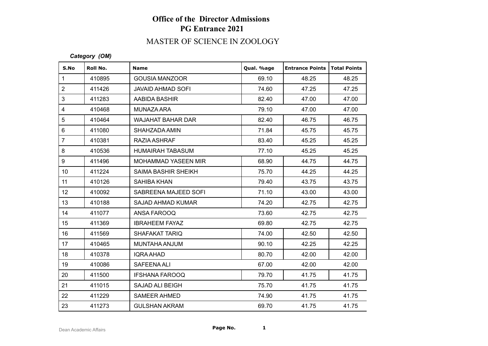# MASTER OF SCIENCE IN ZOOLOGY

#### *Category (OM)*

| S.No            | Roll No. | <b>Name</b>                | Qual. %age | <b>Entrance Points   Total Points</b> |       |
|-----------------|----------|----------------------------|------------|---------------------------------------|-------|
| $\mathbf{1}$    | 410895   | <b>GOUSIA MANZOOR</b>      | 69.10      | 48.25                                 | 48.25 |
| $\overline{2}$  | 411426   | JAVAID AHMAD SOFI          | 74.60      | 47.25                                 | 47.25 |
| 3               | 411283   | AABIDA BASHIR              | 82.40      | 47.00                                 | 47.00 |
| $\overline{4}$  | 410468   | MUNAZA ARA                 | 79.10      | 47.00                                 | 47.00 |
| 5               | 410464   | <b>WAJAHAT BAHAR DAR</b>   | 82.40      | 46.75                                 | 46.75 |
| $\,6\,$         | 411080   | SHAHZADA AMIN              | 71.84      | 45.75                                 | 45.75 |
| $\overline{7}$  | 410381   | RAZIA ASHRAF               | 83.40      | 45.25                                 | 45.25 |
| 8               | 410536   | HUMAIRAH TABASUM           | 77.10      | 45.25                                 | 45.25 |
| 9               | 411496   | MOHAMMAD YASEEN MIR        | 68.90      | 44.75                                 | 44.75 |
| 10 <sup>1</sup> | 411224   | <b>SAIMA BASHIR SHEIKH</b> | 75.70      | 44.25                                 | 44.25 |
| 11              | 410126   | SAHIBA KHAN                | 79.40      | 43.75                                 | 43.75 |
| 12 <sup>°</sup> | 410092   | SABREENA MAJEED SOFI       | 71.10      | 43.00                                 | 43.00 |
| 13              | 410188   | SAJAD AHMAD KUMAR          | 74.20      | 42.75                                 | 42.75 |
| 14              | 411077   | ANSA FAROOQ                | 73.60      | 42.75                                 | 42.75 |
| 15              | 411369   | <b>IBRAHEEM FAYAZ</b>      | 69.80      | 42.75                                 | 42.75 |
| 16              | 411569   | <b>SHAFAKAT TARIQ</b>      | 74.00      | 42.50                                 | 42.50 |
| 17              | 410465   | MUNTAHA ANJUM              | 90.10      | 42.25                                 | 42.25 |
| 18              | 410378   | <b>IQRA AHAD</b>           | 80.70      | 42.00                                 | 42.00 |
| 19              | 410086   | SAFEENA ALI                | 67.00      | 42.00                                 | 42.00 |
| 20              | 411500   | <b>IFSHANA FAROOQ</b>      | 79.70      | 41.75                                 | 41.75 |
| 21              | 411015   | SAJAD ALI BEIGH            | 75.70      | 41.75                                 | 41.75 |
| 22              | 411229   | <b>SAMEER AHMED</b>        | 74.90      | 41.75                                 | 41.75 |
| 23              | 411273   | <b>GULSHAN AKRAM</b>       | 69.70      | 41.75                                 | 41.75 |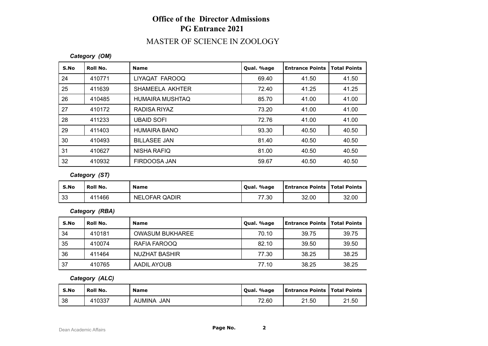#### MASTER OF SCIENCE IN ZOOLOGY

#### *Category (OM)*

| S.No | Roll No. | <b>Name</b>         | Qual. %age | <b>Entrance Points</b> | <b>Total Points</b> |
|------|----------|---------------------|------------|------------------------|---------------------|
| 24   | 410771   | LIYAQAT FAROOQ      | 69.40      | 41.50                  | 41.50               |
| 25   | 411639   | SHAMEELA AKHTER     | 72.40      | 41.25                  | 41.25               |
| 26   | 410485   | HUMAIRA MUSHTAQ     | 85.70      | 41.00                  | 41.00               |
| 27   | 410172   | RADISA RIYAZ        | 73.20      | 41.00                  | 41.00               |
| 28   | 411233   | <b>UBAID SOFI</b>   | 72.76      | 41.00                  | 41.00               |
| 29   | 411403   | <b>HUMAIRA BANO</b> | 93.30      | 40.50                  | 40.50               |
| 30   | 410493   | <b>BILLASEE JAN</b> | 81.40      | 40.50                  | 40.50               |
| 31   | 410627   | <b>NISHA RAFIQ</b>  | 81.00      | 40.50                  | 40.50               |
| 32   | 410932   | FIRDOOSA JAN        | 59.67      | 40.50                  | 40.50               |

*Category (ST)*

| S.No | <b>Roll No.</b> | <b>Name</b>   | Qual. %age | <b>Entrance Points   Total Points</b> |       |
|------|-----------------|---------------|------------|---------------------------------------|-------|
| 33   | 411466          | NELOFAR QADIR | 77.30      | 32.00                                 | 32.00 |

*Category (RBA)*

| S.No | Roll No. | <b>Name</b>            | Qual. %age | Entrance Points   Total Points |       |
|------|----------|------------------------|------------|--------------------------------|-------|
| 34   | 410181   | <b>OWASUM BUKHAREE</b> | 70.10      | 39.75                          | 39.75 |
| 35   | 410074   | RAFIA FAROOQ           | 82.10      | 39.50                          | 39.50 |
| 36   | 411464   | <b>NUZHAT BASHIR</b>   | 77.30      | 38.25                          | 38.25 |
| 37   | 410765   | AADIL AYOUB            | 77.10      | 38.25                          | 38.25 |

*Category (ALC)*

| S.No | Roll No. | <b>Name</b> | Qual. %age | <b>Entrance Points   Total Points</b> |       |
|------|----------|-------------|------------|---------------------------------------|-------|
| 38   | 410337   | AUMINA JAN  | 72.60      | 21.50                                 | 21.50 |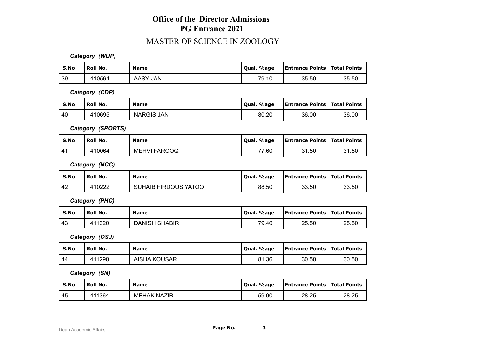#### MASTER OF SCIENCE IN ZOOLOGY

*Category (WUP)*

| S.No | Roll No. | <b>Name</b>   | Qual. %age | <b>Entrance Points   Total Points</b> |       |
|------|----------|---------------|------------|---------------------------------------|-------|
| 39   | 410564   | ′ JAN<br>AASY | 79.10      | 35.50                                 | 35.50 |

*Category (CDP)*

| S.No | <b>Roll No.</b> | <b>Name</b>       | Qual. %age | <b>Entrance Points   Total Points</b> |       |
|------|-----------------|-------------------|------------|---------------------------------------|-------|
| l 40 | 410695          | <b>NARGIS JAN</b> | 80.20      | 36.00                                 | 36.00 |

*Category (SPORTS)*

| S.No | Roll No. | <b>Name</b>  | Qual. %age | <b>Entrance Points   Total Points</b> |       |
|------|----------|--------------|------------|---------------------------------------|-------|
| 41   | 410064   | MEHVI FAROOQ | 77.60      | 31.50                                 | 31.50 |

*Category (NCC)*

| S.No | Roll No. | <b>Name</b>                 | Qual. %age | <b>Entrance Points   Total Points</b> |       |
|------|----------|-----------------------------|------------|---------------------------------------|-------|
| 42   | 110222   | <b>SUHAIB FIRDOUS YATOO</b> | 88.50      | 33.50                                 | 33.50 |

*Category (PHC)*

| S.No | Roll No. | <b>Name</b>          | Oual. %age | <b>Entrance Points   Total Points</b> |       |
|------|----------|----------------------|------------|---------------------------------------|-------|
| 43   | 411320   | <b>DANISH SHABIR</b> | 79.40      | 25.50                                 | 25.50 |

*Category (OSJ)*

| S.No | Roll No. | <b>Name</b>         | Oual, %age | <b>Entrance Points   Total Points</b> |       |
|------|----------|---------------------|------------|---------------------------------------|-------|
| -44  | 411290   | <b>AISHA KOUSAR</b> | 81.36      | 30.50                                 | 30.50 |

*Category (SN)*

| S.No | Roll No. | <b>Name</b>        | Oual, %age | <b>Entrance Points   Total Points</b> |       |
|------|----------|--------------------|------------|---------------------------------------|-------|
| -45  | 411364   | <b>MEHAK NAZIR</b> | 59.90      | 28.25                                 | 28.25 |